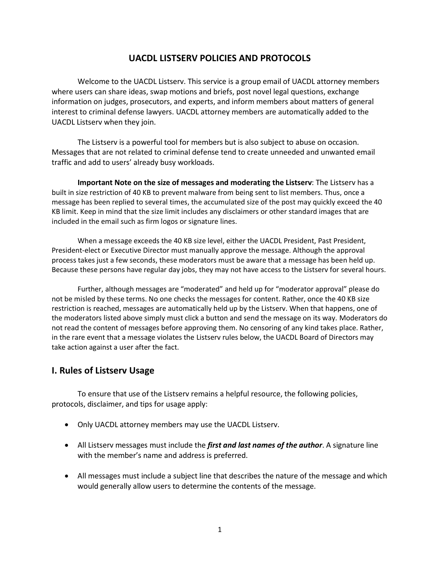## **UACDL LISTSERV POLICIES AND PROTOCOLS**

Welcome to the UACDL Listserv. This service is a group email of UACDL attorney members where users can share ideas, swap motions and briefs, post novel legal questions, exchange information on judges, prosecutors, and experts, and inform members about matters of general interest to criminal defense lawyers. UACDL attorney members are automatically added to the UACDL Listserv when they join.

The Listserv is a powerful tool for members but is also subject to abuse on occasion. Messages that are not related to criminal defense tend to create unneeded and unwanted email traffic and add to users' already busy workloads.

**Important Note on the size of messages and moderating the Listserv**: The Listserv has a built in size restriction of 40 KB to prevent malware from being sent to list members. Thus, once a message has been replied to several times, the accumulated size of the post may quickly exceed the 40 KB limit. Keep in mind that the size limit includes any disclaimers or other standard images that are included in the email such as firm logos or signature lines.

When a message exceeds the 40 KB size level, either the UACDL President, Past President, President-elect or Executive Director must manually approve the message. Although the approval process takes just a few seconds, these moderators must be aware that a message has been held up. Because these persons have regular day jobs, they may not have access to the Listserv for several hours.

Further, although messages are "moderated" and held up for "moderator approval" please do not be misled by these terms. No one checks the messages for content. Rather, once the 40 KB size restriction is reached, messages are automatically held up by the Listserv. When that happens, one of the moderators listed above simply must click a button and send the message on its way. Moderators do not read the content of messages before approving them. No censoring of any kind takes place. Rather, in the rare event that a message violates the Listserv rules below, the UACDL Board of Directors may take action against a user after the fact.

### **I. Rules of Listserv Usage**

To ensure that use of the Listserv remains a helpful resource, the following policies, protocols, disclaimer, and tips for usage apply:

- Only UACDL attorney members may use the UACDL Listserv.
- All Listserv messages must include the *first and last names of the author*. A signature line with the member's name and address is preferred.
- All messages must include a subject line that describes the nature of the message and which would generally allow users to determine the contents of the message.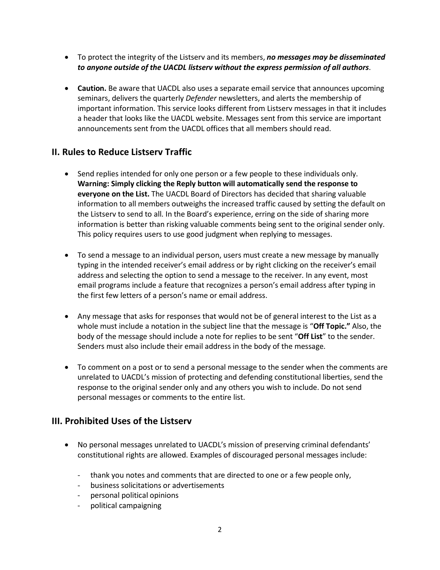- To protect the integrity of the Listserv and its members, *no messages may be disseminated to anyone outside of the UACDL listserv without the express permission of all authors*.
- **Caution.** Be aware that UACDL also uses a separate email service that announces upcoming seminars, delivers the quarterly *Defender* newsletters, and alerts the membership of important information. This service looks different from Listserv messages in that it includes a header that looks like the UACDL website. Messages sent from this service are important announcements sent from the UACDL offices that all members should read.

## **II. Rules to Reduce Listserv Traffic**

- Send replies intended for only one person or a few people to these individuals only. **Warning: Simply clicking the Reply button will automatically send the response to everyone on the List.** The UACDL Board of Directors has decided that sharing valuable information to all members outweighs the increased traffic caused by setting the default on the Listserv to send to all. In the Board's experience, erring on the side of sharing more information is better than risking valuable comments being sent to the original sender only. This policy requires users to use good judgment when replying to messages.
- To send a message to an individual person, users must create a new message by manually typing in the intended receiver's email address or by right clicking on the receiver's email address and selecting the option to send a message to the receiver. In any event, most email programs include a feature that recognizes a person's email address after typing in the first few letters of a person's name or email address.
- Any message that asks for responses that would not be of general interest to the List as a whole must include a notation in the subject line that the message is "**Off Topic."** Also, the body of the message should include a note for replies to be sent "**Off List**" to the sender. Senders must also include their email address in the body of the message.
- To comment on a post or to send a personal message to the sender when the comments are unrelated to UACDL's mission of protecting and defending constitutional liberties, send the response to the original sender only and any others you wish to include. Do not send personal messages or comments to the entire list.

# **III. Prohibited Uses of the Listserv**

- No personal messages unrelated to UACDL's mission of preserving criminal defendants' constitutional rights are allowed. Examples of discouraged personal messages include:
	- thank you notes and comments that are directed to one or a few people only,
	- business solicitations or advertisements
	- personal political opinions
	- political campaigning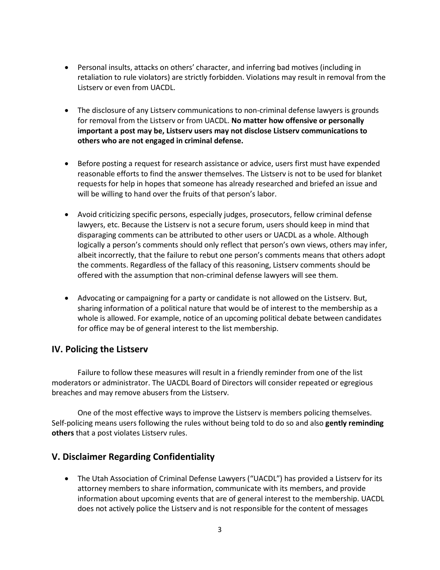- Personal insults, attacks on others' character, and inferring bad motives (including in retaliation to rule violators) are strictly forbidden. Violations may result in removal from the Listserv or even from UACDL.
- The disclosure of any Listserv communications to non-criminal defense lawyers is grounds for removal from the Listserv or from UACDL. **No matter how offensive or personally important a post may be, Listserv users may not disclose Listserv communications to others who are not engaged in criminal defense.**
- Before posting a request for research assistance or advice, users first must have expended reasonable efforts to find the answer themselves. The Listserv is not to be used for blanket requests for help in hopes that someone has already researched and briefed an issue and will be willing to hand over the fruits of that person's labor.
- Avoid criticizing specific persons, especially judges, prosecutors, fellow criminal defense lawyers, etc. Because the Listserv is not a secure forum, users should keep in mind that disparaging comments can be attributed to other users or UACDL as a whole. Although logically a person's comments should only reflect that person's own views, others may infer, albeit incorrectly, that the failure to rebut one person's comments means that others adopt the comments. Regardless of the fallacy of this reasoning, Listserv comments should be offered with the assumption that non-criminal defense lawyers will see them.
- Advocating or campaigning for a party or candidate is not allowed on the Listserv. But, sharing information of a political nature that would be of interest to the membership as a whole is allowed. For example, notice of an upcoming political debate between candidates for office may be of general interest to the list membership.

### **IV. Policing the Listserv**

Failure to follow these measures will result in a friendly reminder from one of the list moderators or administrator. The UACDL Board of Directors will consider repeated or egregious breaches and may remove abusers from the Listserv.

One of the most effective ways to improve the Listserv is members policing themselves. Self-policing means users following the rules without being told to do so and also **gently reminding others** that a post violates Listserv rules.

# **V. Disclaimer Regarding Confidentiality**

• The Utah Association of Criminal Defense Lawyers ("UACDL") has provided a Listserv for its attorney members to share information, communicate with its members, and provide information about upcoming events that are of general interest to the membership. UACDL does not actively police the Listserv and is not responsible for the content of messages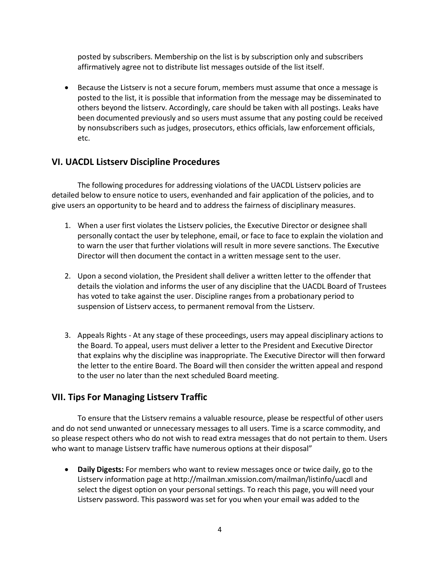posted by subscribers. Membership on the list is by subscription only and subscribers affirmatively agree not to distribute list messages outside of the list itself.

• Because the Listserv is not a secure forum, members must assume that once a message is posted to the list, it is possible that information from the message may be disseminated to others beyond the listserv. Accordingly, care should be taken with all postings. Leaks have been documented previously and so users must assume that any posting could be received by nonsubscribers such as judges, prosecutors, ethics officials, law enforcement officials, etc.

## **VI. UACDL Listserv Discipline Procedures**

The following procedures for addressing violations of the UACDL Listserv policies are detailed below to ensure notice to users, evenhanded and fair application of the policies, and to give users an opportunity to be heard and to address the fairness of disciplinary measures.

- 1. When a user first violates the Listserv policies, the Executive Director or designee shall personally contact the user by telephone, email, or face to face to explain the violation and to warn the user that further violations will result in more severe sanctions. The Executive Director will then document the contact in a written message sent to the user.
- 2. Upon a second violation, the President shall deliver a written letter to the offender that details the violation and informs the user of any discipline that the UACDL Board of Trustees has voted to take against the user. Discipline ranges from a probationary period to suspension of Listserv access, to permanent removal from the Listserv.
- 3. Appeals Rights At any stage of these proceedings, users may appeal disciplinary actions to the Board. To appeal, users must deliver a letter to the President and Executive Director that explains why the discipline was inappropriate. The Executive Director will then forward the letter to the entire Board. The Board will then consider the written appeal and respond to the user no later than the next scheduled Board meeting.

# **VII. Tips For Managing Listserv Traffic**

To ensure that the Listserv remains a valuable resource, please be respectful of other users and do not send unwanted or unnecessary messages to all users. Time is a scarce commodity, and so please respect others who do not wish to read extra messages that do not pertain to them. Users who want to manage Listserv traffic have numerous options at their disposal"

• **Daily Digests:** For members who want to review messages once or twice daily, go to the Listserv information page at http://mailman.xmission.com/mailman/listinfo/uacdl and select the digest option on your personal settings. To reach this page, you will need your Listserv password. This password was set for you when your email was added to the